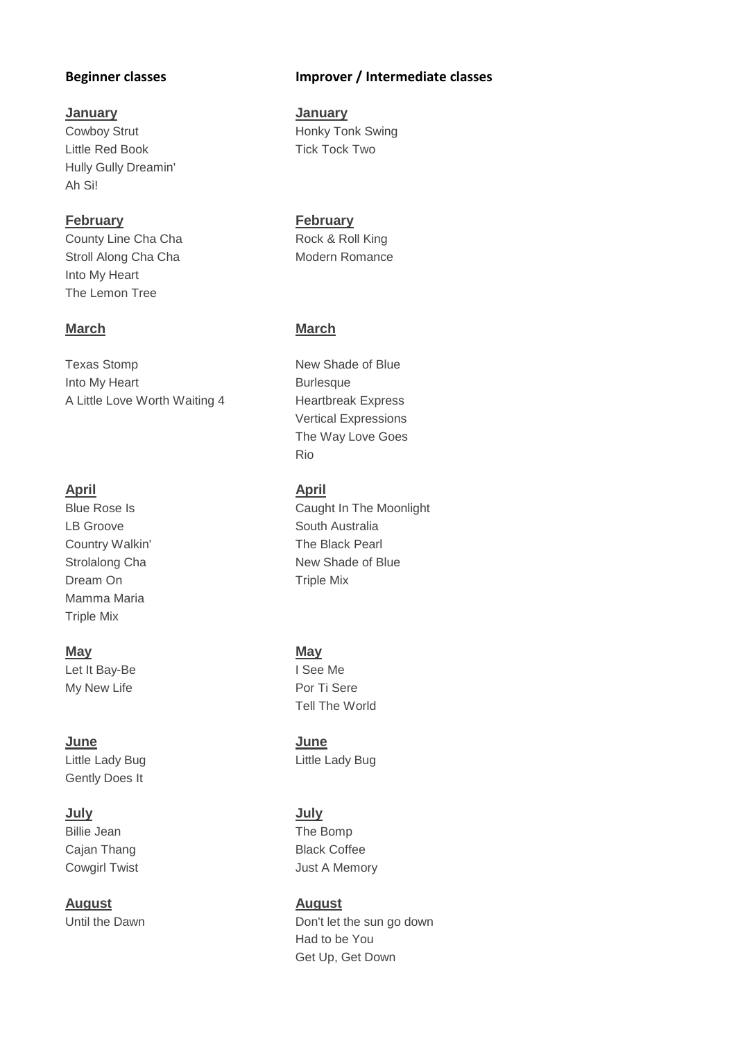### **January January**

Little Red Book Tick Tock Two Hully Gully Dreamin' Ah Si!

**February February** County Line Cha Cha **Cha Rock & Roll King** Stroll Along Cha Cha Modern Romance Into My Heart The Lemon Tree

### **March March**

Texas Stomp New Shade of Blue Into My Heart **Burlesque** Burlesque A Little Love Worth Waiting 4 Heartbreak Express

## **April April**

LB Groove South Australia Dream On Triple Mix Mamma Maria Triple Mix

### **May May**

Let It Bay-Be **I See Me** My New Life **Por Ti Sere** Por Ti Sere

**June June** Little Lady Bug **Little Lady Bug** Gently Does It

Billie Jean The Bomp Cajan Thang Black Coffee

**August August**

### **Beginner classes Improver / Intermediate classes**

Cowboy Strut **Honky Tonk Swing** 

Vertical Expressions The Way Love Goes Rio

Blue Rose Is **Caught In The Moonlight** Country Walkin' The Black Pearl Strolalong Cha New Shade of Blue

Tell The World

**July July** Cowgirl Twist **Cowgirl Twist Just A Memory** 

Until the Dawn Don't let the sun go down Had to be You Get Up, Get Down